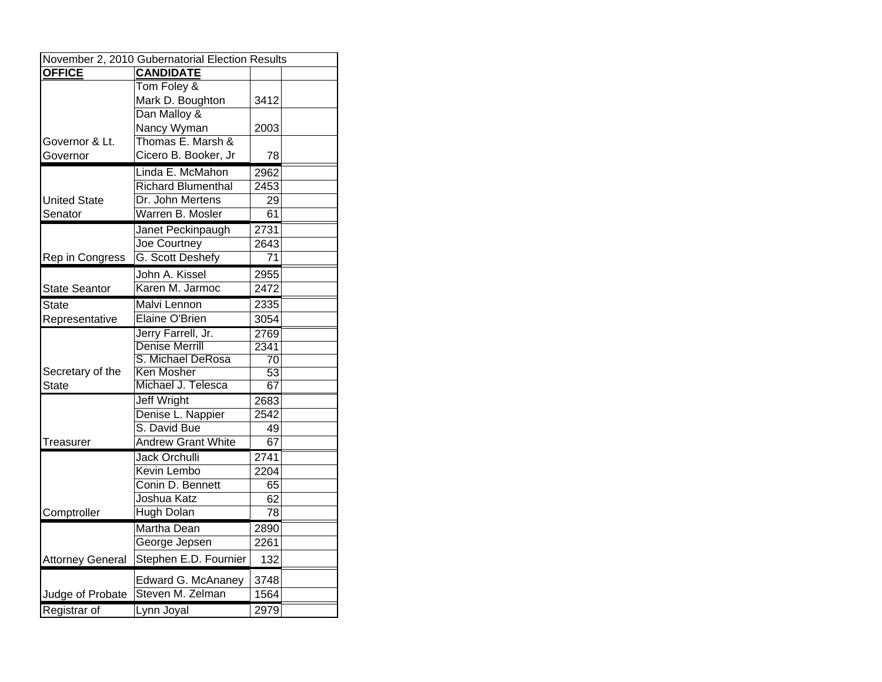| November 2, 2010 Gubernatorial Election Results |                           |      |  |  |
|-------------------------------------------------|---------------------------|------|--|--|
| <b>OFFICE</b>                                   | <b>CANDIDATE</b>          |      |  |  |
|                                                 | Tom Foley &               |      |  |  |
|                                                 | Mark D. Boughton          | 3412 |  |  |
|                                                 | Dan Malloy &              |      |  |  |
|                                                 | Nancy Wyman               | 2003 |  |  |
| Governor & Lt.                                  | Thomas E. Marsh &         |      |  |  |
| Governor                                        | Cicero B. Booker, Jr      | 78   |  |  |
|                                                 | Linda E. McMahon          | 2962 |  |  |
|                                                 | <b>Richard Blumenthal</b> | 2453 |  |  |
| <b>United State</b>                             | Dr. John Mertens          | 29   |  |  |
| Senator                                         | Warren B. Mosler          | 61   |  |  |
|                                                 | Janet Peckinpaugh         | 2731 |  |  |
|                                                 | Joe Courtney              | 2643 |  |  |
| Rep in Congress                                 | G. Scott Deshefy          | 71   |  |  |
|                                                 | John A. Kissel            | 2955 |  |  |
| <b>State Seantor</b>                            | Karen M. Jarmoc           | 2472 |  |  |
| State                                           | Malvi Lennon              | 2335 |  |  |
| Representative                                  | Elaine O'Brien            | 3054 |  |  |
|                                                 | Jerry Farrell, Jr.        | 2769 |  |  |
|                                                 | <b>Denise Merrill</b>     | 2341 |  |  |
|                                                 | S. Michael DeRosa         | 70   |  |  |
| Secretary of the                                | Ken Mosher                | 53   |  |  |
| State                                           | Michael J. Telesca        | 67   |  |  |
|                                                 | <b>Jeff Wright</b>        | 2683 |  |  |
|                                                 | Denise L. Nappier         | 2542 |  |  |
|                                                 | S. David Bue              | 49   |  |  |
| Treasurer                                       | <b>Andrew Grant White</b> | 67   |  |  |
|                                                 | <b>Jack Orchulli</b>      | 2741 |  |  |
|                                                 | Kevin Lembo               | 2204 |  |  |
|                                                 | Conin D. Bennett          | 65   |  |  |
|                                                 | Joshua Katz               | 62   |  |  |
| Comptroller                                     | <b>Hugh Dolan</b>         | 78   |  |  |
|                                                 | <b>Martha Dean</b>        | 2890 |  |  |
|                                                 | George Jepsen             | 2261 |  |  |
| <b>Attorney General</b>                         | Stephen E.D. Fournier     | 132  |  |  |
|                                                 | Edward G. McAnaney        | 3748 |  |  |
| Judge of Probate                                | Steven M. Zelman          | 1564 |  |  |
| Registrar of                                    | Lynn Joyal                | 2979 |  |  |